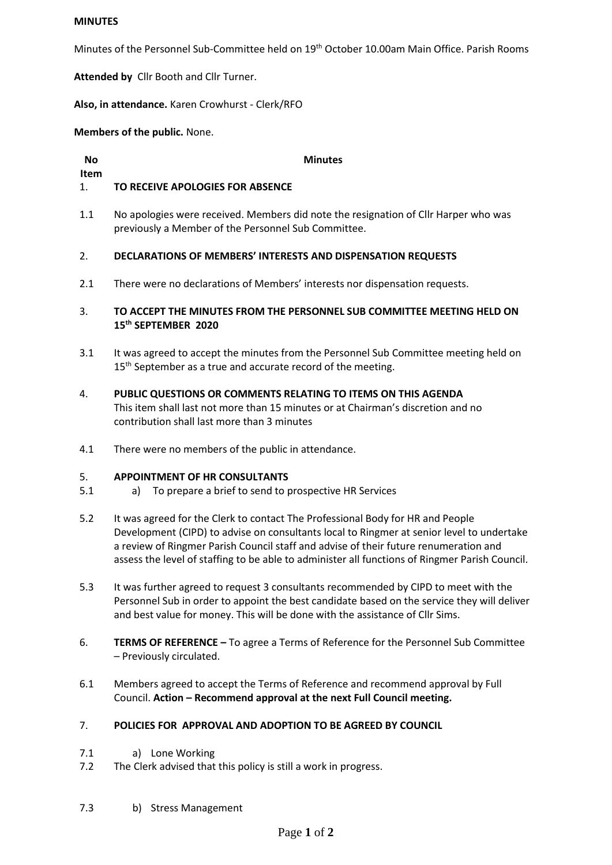# **MINUTES**

Minutes of the Personnel Sub-Committee held on 19<sup>th</sup> October 10.00am Main Office. Parish Rooms

**Attended by** Cllr Booth and Cllr Turner.

**Also, in attendance.** Karen Crowhurst - Clerk/RFO

**Members of the public.** None.

**No** 

**Item**

**Minutes**

## 1. **TO RECEIVE APOLOGIES FOR ABSENCE**

1.1 No apologies were received. Members did note the resignation of Cllr Harper who was previously a Member of the Personnel Sub Committee.

#### $2<sub>1</sub>$ **DECLARATIONS OF MEMBERS' INTERESTS AND DISPENSATION REQUESTS**

2.1 There were no declarations of Members' interests nor dispensation requests.

# 3. **TO ACCEPT THE MINUTES FROM THE PERSONNEL SUB COMMITTEE MEETING HELD ON 15 th SEPTEMBER 2020**

- 3.1 It was agreed to accept the minutes from the Personnel Sub Committee meeting held on 15<sup>th</sup> September as a true and accurate record of the meeting.
- 4. **PUBLIC QUESTIONS OR COMMENTS RELATING TO ITEMS ON THIS AGENDA** This item shall last not more than 15 minutes or at Chairman's discretion and no contribution shall last more than 3 minutes
- 4.1 There were no members of the public in attendance.

#### 5. **APPOINTMENT OF HR CONSULTANTS**

- 5.1 a) To prepare a brief to send to prospective HR Services
- 5.2 It was agreed for the Clerk to contact The Professional Body for HR and People Development (CIPD) to advise on consultants local to Ringmer at senior level to undertake a review of Ringmer Parish Council staff and advise of their future renumeration and assess the level of staffing to be able to administer all functions of Ringmer Parish Council.
- 5.3 It was further agreed to request 3 consultants recommended by CIPD to meet with the Personnel Sub in order to appoint the best candidate based on the service they will deliver and best value for money. This will be done with the assistance of Cllr Sims.
- 6. **TERMS OF REFERENCE –** To agree a Terms of Reference for the Personnel Sub Committee – Previously circulated.
- 6.1 Members agreed to accept the Terms of Reference and recommend approval by Full Council. **Action – Recommend approval at the next Full Council meeting.**

#### 7. **POLICIES FOR APPROVAL AND ADOPTION TO BE AGREED BY COUNCIL**

- 7.1 a) Lone Working
- 7.2 The Clerk advised that this policy is still a work in progress.
- 7.3 b) Stress Management